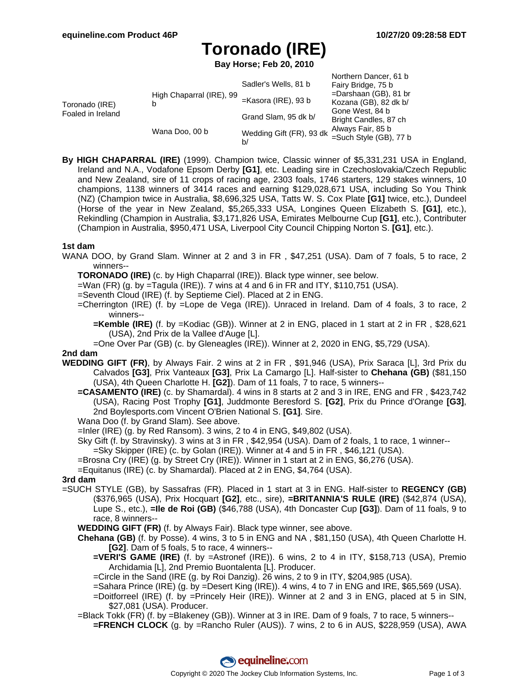# **Toronado (IRE)**

**Bay Horse; Feb 20, 2010**

|                                     |                               | Sadler's Wells, 81 b           | Northern Dancer, 61 b<br>Fairy Bridge, 75 b       |
|-------------------------------------|-------------------------------|--------------------------------|---------------------------------------------------|
| Toronado (IRE)<br>Foaled in Ireland | High Chaparral (IRE), 99<br>b | $=$ Kasora (IRE), 93 b         | $=$ Darshaan (GB), 81 br<br>Kozana (GB), 82 dk b/ |
|                                     |                               | Grand Slam, 95 dk b/           | Gone West, 84 b<br>Bright Candles, 87 ch          |
|                                     | Wana Doo, 00 b                | Wedding Gift (FR), 93 dk<br>b/ | Always Fair, 85 b<br>=Such Style (GB), 77 b       |

**By HIGH CHAPARRAL (IRE)** (1999). Champion twice, Classic winner of \$5,331,231 USA in England, Ireland and N.A., Vodafone Epsom Derby **[G1]**, etc. Leading sire in Czechoslovakia/Czech Republic and New Zealand, sire of 11 crops of racing age, 2303 foals, 1746 starters, 129 stakes winners, 10 champions, 1138 winners of 3414 races and earning \$129,028,671 USA, including So You Think (NZ) (Champion twice in Australia, \$8,696,325 USA, Tatts W. S. Cox Plate **[G1]** twice, etc.), Dundeel (Horse of the year in New Zealand, \$5,265,333 USA, Longines Queen Elizabeth S. **[G1]**, etc.), Rekindling (Champion in Australia, \$3,171,826 USA, Emirates Melbourne Cup **[G1]**, etc.), Contributer (Champion in Australia, \$950,471 USA, Liverpool City Council Chipping Norton S. **[G1]**, etc.).

#### **1st dam**

- WANA DOO, by Grand Slam. Winner at 2 and 3 in FR , \$47,251 (USA). Dam of 7 foals, 5 to race, 2 winners--
	- **TORONADO (IRE)** (c. by High Chaparral (IRE)). Black type winner, see below.
	- $=$ Wan (FR) (g. by  $=$ Tagula (IRE)). 7 wins at 4 and 6 in FR and ITY, \$110,751 (USA).
	- =Seventh Cloud (IRE) (f. by Septieme Ciel). Placed at 2 in ENG.
	- =Cherrington (IRE) (f. by =Lope de Vega (IRE)). Unraced in Ireland. Dam of 4 foals, 3 to race, 2 winners--
		- **=Kemble (IRE)** (f. by =Kodiac (GB)). Winner at 2 in ENG, placed in 1 start at 2 in FR , \$28,621 (USA), 2nd Prix de la Vallee d'Auge [L].
	- =One Over Par (GB) (c. by Gleneagles (IRE)). Winner at 2, 2020 in ENG, \$5,729 (USA).

### **2nd dam**

- **WEDDING GIFT (FR)**, by Always Fair. 2 wins at 2 in FR , \$91,946 (USA), Prix Saraca [L], 3rd Prix du Calvados **[G3]**, Prix Vanteaux **[G3]**, Prix La Camargo [L]. Half-sister to **Chehana (GB)** (\$81,150 (USA), 4th Queen Charlotte H. **[G2]**). Dam of 11 foals, 7 to race, 5 winners--
	- **=CASAMENTO (IRE)** (c. by Shamardal). 4 wins in 8 starts at 2 and 3 in IRE, ENG and FR , \$423,742 (USA), Racing Post Trophy **[G1]**, Juddmonte Beresford S. **[G2]**, Prix du Prince d'Orange **[G3]**, 2nd Boylesports.com Vincent O'Brien National S. **[G1]**. Sire.
	- Wana Doo (f. by Grand Slam). See above.
	- $=$ Inler (IRE) (g. by Red Ransom). 3 wins, 2 to 4 in ENG, \$49,802 (USA).
	- Sky Gift (f. by Stravinsky). 3 wins at 3 in FR , \$42,954 (USA). Dam of 2 foals, 1 to race, 1 winner--
	- =Sky Skipper (IRE) (c. by Golan (IRE)). Winner at 4 and 5 in FR , \$46,121 (USA).
	- =Brosna Cry (IRE) (g. by Street Cry (IRE)). Winner in 1 start at 2 in ENG, \$6,276 (USA).
	- =Equitanus (IRE) (c. by Shamardal). Placed at 2 in ENG, \$4,764 (USA).

#### **3rd dam**

- =SUCH STYLE (GB), by Sassafras (FR). Placed in 1 start at 3 in ENG. Half-sister to **REGENCY (GB)** (\$376,965 (USA), Prix Hocquart **[G2]**, etc., sire), **=BRITANNIA'S RULE (IRE)** (\$42,874 (USA), Lupe S., etc.), **=Ile de Roi (GB)** (\$46,788 (USA), 4th Doncaster Cup **[G3]**). Dam of 11 foals, 9 to race, 8 winners--
	- **WEDDING GIFT (FR)** (f. by Always Fair). Black type winner, see above.
	- **Chehana (GB)** (f. by Posse). 4 wins, 3 to 5 in ENG and NA , \$81,150 (USA), 4th Queen Charlotte H. **[G2]**. Dam of 5 foals, 5 to race, 4 winners--
		- **=VERI'S GAME (IRE)** (f. by =Astronef (IRE)). 6 wins, 2 to 4 in ITY, \$158,713 (USA), Premio Archidamia [L], 2nd Premio Buontalenta [L]. Producer.
		- =Circle in the Sand (IRE (g. by Roi Danzig). 26 wins, 2 to 9 in ITY, \$204,985 (USA).
		- =Sahara Prince (IRE) (g. by =Desert King (IRE)). 4 wins, 4 to 7 in ENG and IRE, \$65,569 (USA).
		- =Doitforreel (IRE) (f. by =Princely Heir (IRE)). Winner at 2 and 3 in ENG, placed at 5 in SIN, \$27,081 (USA). Producer.
	- =Black Tokk (FR) (f. by =Blakeney (GB)). Winner at 3 in IRE. Dam of 9 foals, 7 to race, 5 winners-- **=FRENCH CLOCK** (g. by =Rancho Ruler (AUS)). 7 wins, 2 to 6 in AUS, \$228,959 (USA), AWA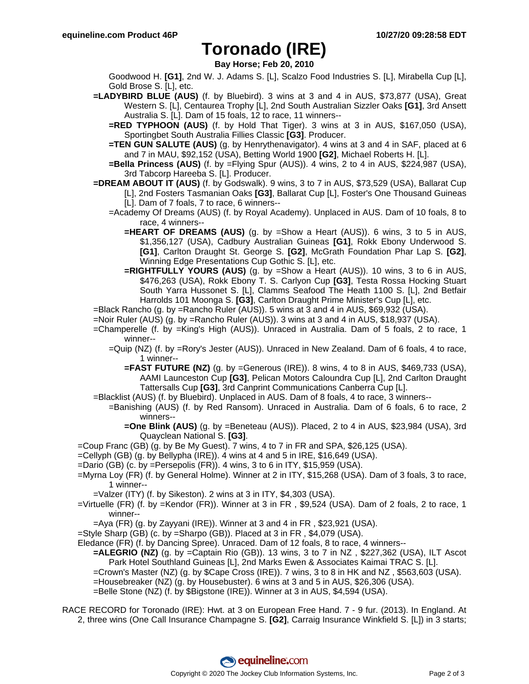### **Toronado (IRE)**

**Bay Horse; Feb 20, 2010**

Goodwood H. **[G1]**, 2nd W. J. Adams S. [L], Scalzo Food Industries S. [L], Mirabella Cup [L], Gold Brose S. [L], etc.

- **=LADYBIRD BLUE (AUS)** (f. by Bluebird). 3 wins at 3 and 4 in AUS, \$73,877 (USA), Great Western S. [L], Centaurea Trophy [L], 2nd South Australian Sizzler Oaks **[G1]**, 3rd Ansett Australia S. [L]. Dam of 15 foals, 12 to race, 11 winners--
	- **=RED TYPHOON (AUS)** (f. by Hold That Tiger). 3 wins at 3 in AUS, \$167,050 (USA), Sportingbet South Australia Fillies Classic **[G3]**. Producer.
	- **=TEN GUN SALUTE (AUS)** (g. by Henrythenavigator). 4 wins at 3 and 4 in SAF, placed at 6 and 7 in MAU, \$92,152 (USA), Betting World 1900 **[G2]**, Michael Roberts H. [L].
	- **=Bella Princess (AUS)** (f. by =Flying Spur (AUS)). 4 wins, 2 to 4 in AUS, \$224,987 (USA), 3rd Tabcorp Hareeba S. [L]. Producer.
- **=DREAM ABOUT IT (AUS)** (f. by Godswalk). 9 wins, 3 to 7 in AUS, \$73,529 (USA), Ballarat Cup [L], 2nd Fosters Tasmanian Oaks **[G3]**, Ballarat Cup [L], Foster's One Thousand Guineas [L]. Dam of 7 foals, 7 to race, 6 winners--
	- =Academy Of Dreams (AUS) (f. by Royal Academy). Unplaced in AUS. Dam of 10 foals, 8 to race, 4 winners--
		- **=HEART OF DREAMS (AUS)** (g. by =Show a Heart (AUS)). 6 wins, 3 to 5 in AUS, \$1,356,127 (USA), Cadbury Australian Guineas **[G1]**, Rokk Ebony Underwood S. **[G1]**, Carlton Draught St. George S. **[G2]**, McGrath Foundation Phar Lap S. **[G2]**, Winning Edge Presentations Cup Gothic S. [L], etc.
		- **=RIGHTFULLY YOURS (AUS)** (g. by =Show a Heart (AUS)). 10 wins, 3 to 6 in AUS, \$476,263 (USA), Rokk Ebony T. S. Carlyon Cup **[G3]**, Testa Rossa Hocking Stuart South Yarra Hussonet S. [L], Clamms Seafood The Heath 1100 S. [L], 2nd Betfair Harrolds 101 Moonga S. **[G3]**, Carlton Draught Prime Minister's Cup [L], etc.
- =Black Rancho (g. by =Rancho Ruler (AUS)). 5 wins at 3 and 4 in AUS, \$69,932 (USA).
- =Noir Ruler (AUS) (g. by =Rancho Ruler (AUS)). 3 wins at 3 and 4 in AUS, \$18,937 (USA).
- =Champerelle (f. by =King's High (AUS)). Unraced in Australia. Dam of 5 foals, 2 to race, 1 winner--
	- =Quip (NZ) (f. by =Rory's Jester (AUS)). Unraced in New Zealand. Dam of 6 foals, 4 to race, 1 winner--
		- **=FAST FUTURE (NZ)** (g. by =Generous (IRE)). 8 wins, 4 to 8 in AUS, \$469,733 (USA), AAMI Launceston Cup **[G3]**, Pelican Motors Caloundra Cup [L], 2nd Carlton Draught Tattersalls Cup **[G3]**, 3rd Canprint Communications Canberra Cup [L].
- =Blacklist (AUS) (f. by Bluebird). Unplaced in AUS. Dam of 8 foals, 4 to race, 3 winners--
- =Banishing (AUS) (f. by Red Ransom). Unraced in Australia. Dam of 6 foals, 6 to race, 2 winners--
	- **=One Blink (AUS)** (g. by =Beneteau (AUS)). Placed, 2 to 4 in AUS, \$23,984 (USA), 3rd Quayclean National S. **[G3]**.
- =Coup Franc (GB) (g. by Be My Guest). 7 wins, 4 to 7 in FR and SPA, \$26,125 (USA).
- =Cellyph (GB) (g. by Bellypha (IRE)). 4 wins at 4 and 5 in IRE, \$16,649 (USA).
- $=$ Dario (GB) (c. by  $=$ Persepolis (FR)). 4 wins, 3 to 6 in ITY, \$15,959 (USA).
- =Myrna Loy (FR) (f. by General Holme). Winner at 2 in ITY, \$15,268 (USA). Dam of 3 foals, 3 to race, 1 winner--
	- =Valzer (ITY) (f. by Sikeston). 2 wins at 3 in ITY, \$4,303 (USA).
- =Virtuelle (FR) (f. by =Kendor (FR)). Winner at 3 in FR , \$9,524 (USA). Dam of 2 foals, 2 to race, 1 winner--
	- $=$ Aya (FR) (g. by Zayyani (IRE)). Winner at 3 and 4 in FR, \$23,921 (USA).
- =Style Sharp (GB) (c. by =Sharpo (GB)). Placed at 3 in FR , \$4,079 (USA).
- Eledance (FR) (f. by Dancing Spree). Unraced. Dam of 12 foals, 8 to race, 4 winners--
	- **=ALEGRIO (NZ)** (g. by =Captain Rio (GB)). 13 wins, 3 to 7 in NZ , \$227,362 (USA), ILT Ascot Park Hotel Southland Guineas [L], 2nd Marks Ewen & Associates Kaimai TRAC S. [L].
	- =Crown's Master (NZ) (g. by \$Cape Cross (IRE)). 7 wins, 3 to 8 in HK and NZ , \$563,603 (USA).
	- =Housebreaker (NZ) (g. by Housebuster). 6 wins at 3 and 5 in AUS, \$26,306 (USA).
	- =Belle Stone (NZ) (f. by \$Bigstone (IRE)). Winner at 3 in AUS, \$4,594 (USA).

RACE RECORD for Toronado (IRE): Hwt. at 3 on European Free Hand. 7 - 9 fur. (2013). In England. At 2, three wins (One Call Insurance Champagne S. **[G2]**, Carraig Insurance Winkfield S. [L]) in 3 starts;